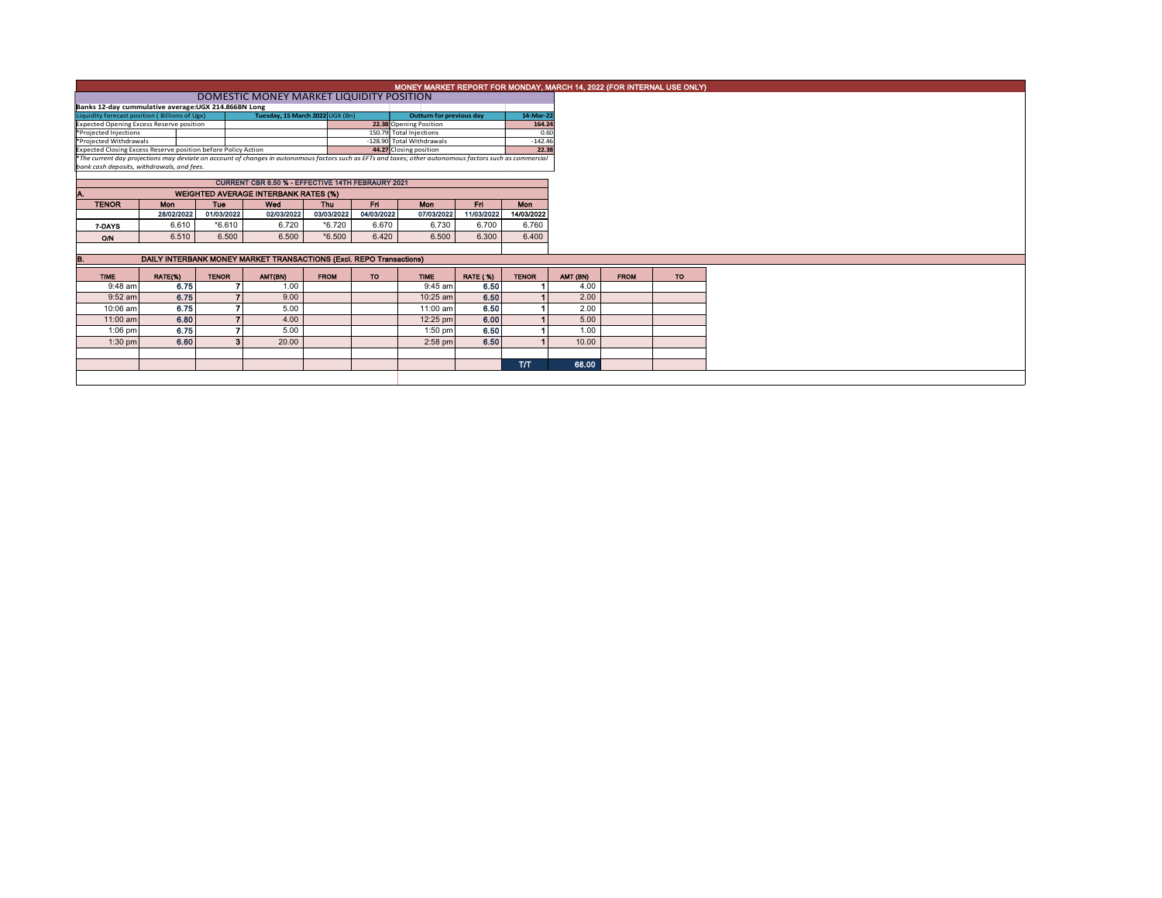|                                                               |                                                   | MONEY MARKET REPORT FOR MONDAY, MARCH 14, 2022 (FOR INTERNAL USE ONLY) |                                                                                                                                                          |             |            |                                                      |                 |                    |          |             |           |
|---------------------------------------------------------------|---------------------------------------------------|------------------------------------------------------------------------|----------------------------------------------------------------------------------------------------------------------------------------------------------|-------------|------------|------------------------------------------------------|-----------------|--------------------|----------|-------------|-----------|
|                                                               | DOMESTIC MONEY MARKET LIQUIDITY POSITION          |                                                                        |                                                                                                                                                          |             |            |                                                      |                 |                    |          |             |           |
| Banks 12-day cummulative average:UGX 214.866BN Long           |                                                   |                                                                        |                                                                                                                                                          |             |            |                                                      |                 |                    |          |             |           |
| Liquidity forecast position (Billions of Ugx)                 | Outturn for previous day                          |                                                                        | 14-Mar-22                                                                                                                                                |             |            |                                                      |                 |                    |          |             |           |
| <b>Expected Opening Excess Reserve position</b>               |                                                   |                                                                        |                                                                                                                                                          |             |            | 22.38 Opening Position                               |                 | 164.24             |          |             |           |
| *Projected Injections<br>*Projected Withdrawals               |                                                   |                                                                        |                                                                                                                                                          |             |            | 150.79 Total Injections<br>-128.90 Total Withdrawals |                 | 0.60               |          |             |           |
| Expected Closing Excess Reserve position before Policy Action |                                                   |                                                                        |                                                                                                                                                          |             |            | 44.27 Closing position                               |                 | $-142.46$<br>22.38 |          |             |           |
|                                                               |                                                   |                                                                        | *The current day projections may deviate on account of changes in autonomous factors such as EFTs and taxes; other autonomous factors such as commercial |             |            |                                                      |                 |                    |          |             |           |
| bank cash deposits, withdrawals, and fees.                    |                                                   |                                                                        |                                                                                                                                                          |             |            |                                                      |                 |                    |          |             |           |
|                                                               | CURRENT CBR 6.50 % - EFFECTIVE 14TH FEBRAURY 2021 |                                                                        |                                                                                                                                                          |             |            |                                                      |                 |                    |          |             |           |
|                                                               | <b>WEIGHTED AVERAGE INTERBANK RATES (%)</b>       |                                                                        |                                                                                                                                                          |             |            |                                                      |                 |                    |          |             |           |
| <b>TENOR</b>                                                  | <b>Mon</b>                                        | <b>Tue</b>                                                             | Wed                                                                                                                                                      | Thu         | <b>Fri</b> | <b>Mon</b>                                           | Fri.            | <b>Mon</b>         |          |             |           |
|                                                               | 28/02/2022                                        | 01/03/2022                                                             | 02/03/2022                                                                                                                                               | 03/03/2022  | 04/03/2022 | 07/03/2022                                           | 11/03/2022      | 14/03/2022         |          |             |           |
| 7-DAYS                                                        | 6.610                                             | $*6.610$                                                               | 6.720                                                                                                                                                    | $*6.720$    | 6.670      | 6.730                                                | 6.700           | 6.760              |          |             |           |
| O/N                                                           | 6.510                                             | 6.500                                                                  | 6.500                                                                                                                                                    | $*6.500$    | 6.420      | 6.500                                                | 6.300           | 6.400              |          |             |           |
|                                                               |                                                   |                                                                        |                                                                                                                                                          |             |            |                                                      |                 |                    |          |             |           |
| В.                                                            |                                                   |                                                                        | DAILY INTERBANK MONEY MARKET TRANSACTIONS (Excl. REPO Transactions)                                                                                      |             |            |                                                      |                 |                    |          |             |           |
| <b>TIME</b>                                                   | RATE(%)                                           | <b>TENOR</b>                                                           | AMT(BN)                                                                                                                                                  | <b>FROM</b> | <b>TO</b>  | <b>TIME</b>                                          | <b>RATE (%)</b> | <b>TENOR</b>       | AMT (BN) | <b>FROM</b> | <b>TO</b> |
| $9:48$ am                                                     | 6.75                                              |                                                                        | 1.00                                                                                                                                                     |             |            | 9:45 am                                              | 6.50            |                    | 4.00     |             |           |
| $9:52$ am                                                     | 6.75                                              |                                                                        | 9.00                                                                                                                                                     |             |            | 10:25 am                                             | 6.50            |                    | 2.00     |             |           |
| 10:06 am                                                      | 6.75                                              |                                                                        | 5.00                                                                                                                                                     |             |            | 11:00 am                                             | 6.50            |                    | 2.00     |             |           |
| 11:00 am                                                      | 6.80                                              |                                                                        | 4.00                                                                                                                                                     |             |            | 12:25 pm                                             | 6.00            |                    | 5.00     |             |           |
| $1:06$ pm                                                     | 6.75                                              |                                                                        | 5.00                                                                                                                                                     |             |            | $1:50$ pm                                            | 6.50            |                    | 1.00     |             |           |
| $1:30$ pm                                                     | 6.60                                              |                                                                        | 20.00                                                                                                                                                    |             |            | $2:58$ pm                                            | 6.50            |                    | 10.00    |             |           |
|                                                               |                                                   |                                                                        |                                                                                                                                                          |             |            |                                                      |                 |                    |          |             |           |
|                                                               |                                                   |                                                                        |                                                                                                                                                          |             |            |                                                      |                 | <b>T/T</b>         | 68.00    |             |           |
|                                                               |                                                   |                                                                        |                                                                                                                                                          |             |            |                                                      |                 |                    |          |             |           |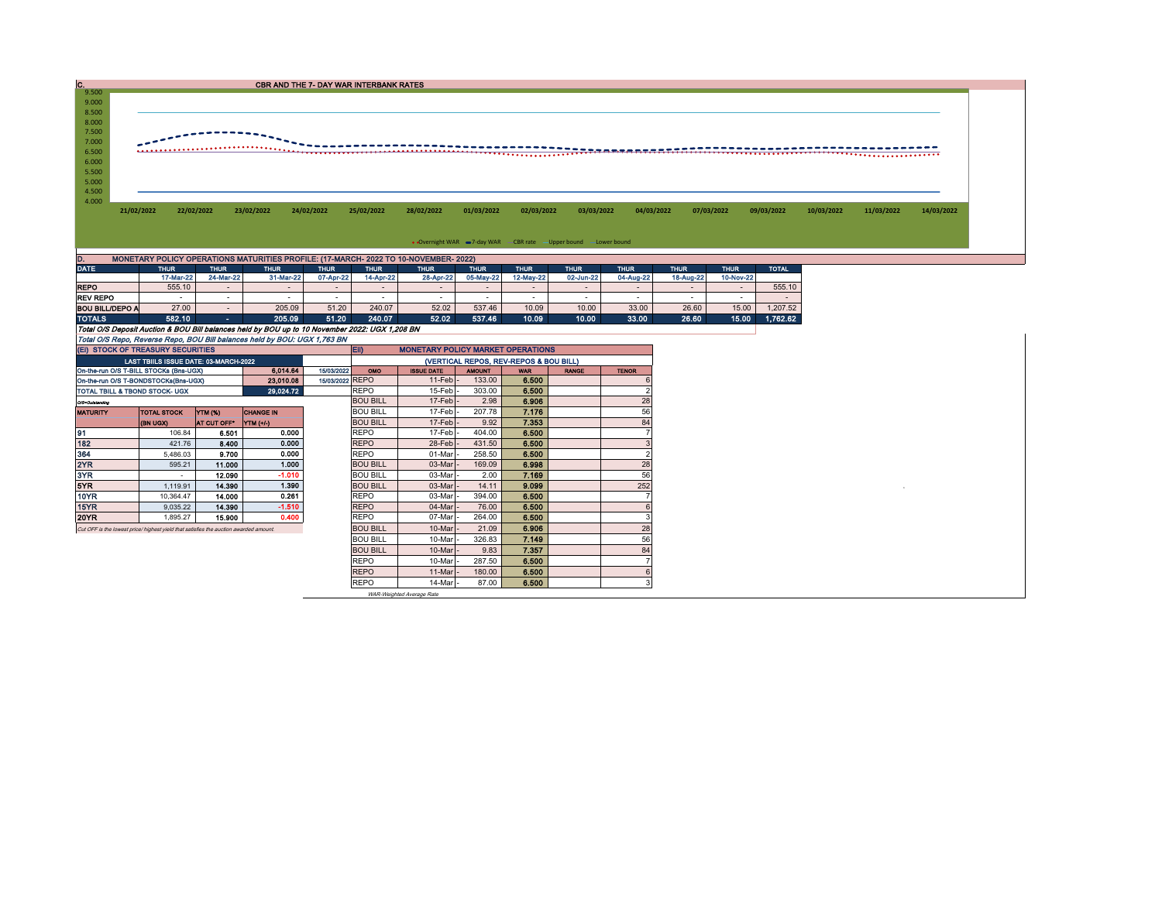|                                                        |                          |             |                                                                                      |             | <b>CBR AND THE 7- DAY WAR INTERBANK RATES</b> |                          |                          |                                                                  |             |                          |             |                          |              |            |            |            |
|--------------------------------------------------------|--------------------------|-------------|--------------------------------------------------------------------------------------|-------------|-----------------------------------------------|--------------------------|--------------------------|------------------------------------------------------------------|-------------|--------------------------|-------------|--------------------------|--------------|------------|------------|------------|
| 9.500                                                  |                          |             |                                                                                      |             |                                               |                          |                          |                                                                  |             |                          |             |                          |              |            |            |            |
| 9.000                                                  |                          |             |                                                                                      |             |                                               |                          |                          |                                                                  |             |                          |             |                          |              |            |            |            |
| 8.500                                                  |                          |             |                                                                                      |             |                                               |                          |                          |                                                                  |             |                          |             |                          |              |            |            |            |
| 8.000                                                  |                          |             |                                                                                      |             |                                               |                          |                          |                                                                  |             |                          |             |                          |              |            |            |            |
| 7.500                                                  |                          |             |                                                                                      |             |                                               |                          |                          |                                                                  |             |                          |             |                          |              |            |            |            |
| 7.000                                                  |                          |             |                                                                                      |             |                                               |                          |                          |                                                                  |             |                          |             |                          |              |            |            |            |
| 6.500                                                  |                          |             |                                                                                      |             |                                               |                          |                          |                                                                  |             |                          |             |                          |              |            |            |            |
| 6.000                                                  |                          |             |                                                                                      |             |                                               |                          |                          |                                                                  |             |                          |             |                          |              |            |            |            |
| 5.500                                                  |                          |             |                                                                                      |             |                                               |                          |                          |                                                                  |             |                          |             |                          |              |            |            |            |
| 5.000                                                  |                          |             |                                                                                      |             |                                               |                          |                          |                                                                  |             |                          |             |                          |              |            |            |            |
| 4.500                                                  |                          |             |                                                                                      |             |                                               |                          |                          |                                                                  |             |                          |             |                          |              |            |            |            |
|                                                        |                          |             |                                                                                      |             |                                               |                          |                          |                                                                  |             |                          |             |                          |              |            |            |            |
|                                                        |                          |             |                                                                                      |             |                                               |                          |                          |                                                                  |             |                          |             |                          |              |            |            |            |
|                                                        | 22/02/2022<br>21/02/2022 |             | 23/02/2022                                                                           | 24/02/2022  | 25/02/2022                                    | 28/02/2022               | 01/03/2022               | 02/03/2022                                                       | 03/03/2022  | 04/03/2022               |             | 07/03/2022               | 09/03/2022   | 10/03/2022 | 11/03/2022 | 14/03/2022 |
|                                                        |                          |             |                                                                                      |             |                                               |                          |                          |                                                                  |             |                          |             |                          |              |            |            |            |
|                                                        |                          |             |                                                                                      |             |                                               |                          |                          |                                                                  |             |                          |             |                          |              |            |            |            |
|                                                        |                          |             |                                                                                      |             |                                               |                          |                          |                                                                  |             |                          |             |                          |              |            |            |            |
|                                                        |                          |             |                                                                                      |             |                                               |                          |                          | . Overnight WAR = 7-day WAR CBR rate - Upper bound - Lower bound |             |                          |             |                          |              |            |            |            |
|                                                        |                          |             | MONETARY POLICY OPERATIONS MATURITIES PROFILE: (17-MARCH- 2022 TO 10-NOVEMBER- 2022) |             |                                               |                          |                          |                                                                  |             |                          |             |                          |              |            |            |            |
|                                                        | <b>THUR</b>              | <b>THUR</b> | <b>THUR</b>                                                                          | <b>THUR</b> | <b>THUR</b>                                   | <b>THUR</b>              | <b>THUR</b>              | <b>THUR</b>                                                      | <b>THUR</b> | <b>THUR</b>              | <b>THUR</b> | <b>THUR</b>              | <b>TOTAL</b> |            |            |            |
|                                                        | 17-Mar-22                | 24-Mar-22   | 31-Mar-22                                                                            | 07-Apr-22   | 14-Apr-22                                     | 28-Apr-22                | 05-May-22                | 12-May-22                                                        | 02-Jun-22   | 04-Aug-22                | 18-Aug-22   | 10-Nov-22                |              |            |            |            |
|                                                        | 555.10                   | $\sim$      | $\sim$                                                                               | $\sim$      | $\sim$                                        | $\overline{\phantom{a}}$ | $\sim$                   | $\sim$                                                           | $\sim$      | $\sim$                   | $\sim$      | $\sim$                   | 555.10       |            |            |            |
| 4.000<br><b>DATE</b><br><b>REPO</b><br><b>REV REPO</b> | $\sim$                   | $\sim$      |                                                                                      | $\sim$      | $\overline{\phantom{a}}$                      | $\overline{\phantom{a}}$ | $\overline{\phantom{a}}$ | $\overline{\phantom{a}}$                                         | $\sim$      | $\overline{\phantom{a}}$ | $\sim$      | $\overline{\phantom{a}}$ |              |            |            |            |

|                 | Total O/S Dennelt Auction & BOU Bill belances held by BOU up to 10 November 2022: UCY 1 208 BN |  |        |       |        |       |        |       |       |        |       |       |           |  |  |
|-----------------|------------------------------------------------------------------------------------------------|--|--------|-------|--------|-------|--------|-------|-------|--------|-------|-------|-----------|--|--|
| <b>TOTALS</b>   | 582.10                                                                                         |  | 205.09 | 51.20 | 240.07 | 52.02 | 537.46 | 10.09 | 10.00 | 33.00' | 26.60 | 15.00 | 1.762.62. |  |  |
| BOU BILL/DEPO A | 27.00                                                                                          |  | 205.09 | 51.20 | 240.07 | 52.02 | 537.46 | 10.09 | 10.00 | 33.00  | 26.60 | 15.00 | 1.207.52  |  |  |

Total O/S Deposit Auction & BOU Bill balances held by BOU up to 10 November 2022: UGX 1,208 BN Total O/S Repo, Reverse Repo, BOU Bill balances held by BOU: UGX 1,763 BN

| (EI) STOCK OF TREASURY SECURITIES                                                     |                          |                    |                  |  |                 | <b>ED</b><br><b>MONETARY POLICY MARKET OPERATIONS</b> |               |            |              |              |  |  |  |  |
|---------------------------------------------------------------------------------------|--------------------------|--------------------|------------------|--|-----------------|-------------------------------------------------------|---------------|------------|--------------|--------------|--|--|--|--|
| LAST TBIILS ISSUE DATE: 03-MARCH-2022                                                 |                          |                    |                  |  |                 | (VERTICAL REPOS, REV-REPOS & BOU BILL)                |               |            |              |              |  |  |  |  |
| 6.014.64<br>On-the-run O/S T-BILL STOCKs (Bns-UGX)<br>15/03/2022                      |                          |                    |                  |  | <b>OMO</b>      | <b>ISSUE DATE</b>                                     | <b>AMOUNT</b> | <b>WAR</b> | <b>RANGE</b> | <b>TENOR</b> |  |  |  |  |
| 23,010.08<br>On-the-run O/S T-BONDSTOCKs(Bns-UGX)                                     |                          |                    |                  |  | 15/03/2022 REPO | $11$ -Feb $\vert$ -                                   | 133.00        | 6.500      |              |              |  |  |  |  |
| 29.024.72<br>TOTAL TBILL & TBOND STOCK- UGX                                           |                          |                    |                  |  | <b>REPO</b>     | $15$ -Feb $\vert$ -                                   | 303.00        | 6.500      |              |              |  |  |  |  |
| O/S=Outstanding                                                                       |                          |                    |                  |  | <b>BOU BILL</b> | $17$ -Feb                                             | 2.98          | 6.906      |              | 28           |  |  |  |  |
| <b>MATURITY</b>                                                                       | <b>TOTAL STOCK</b>       | YTM (%)            | <b>CHANGE IN</b> |  | <b>BOU BILL</b> | 17-Feb -                                              | 207.78        | 7.176      |              | 56           |  |  |  |  |
|                                                                                       | <b>(BN UGX)</b>          | <b>AT CUT OFF*</b> | $YTM$ $(+/-)$    |  | <b>BOU BILL</b> | $17$ -Feb                                             | 9.92          | 7.353      |              | 84           |  |  |  |  |
| 91                                                                                    | 106.84                   | 6.501              | 0.000            |  | <b>REPO</b>     | 17-Feb                                                | 404.00        | 6.500      |              |              |  |  |  |  |
| 182                                                                                   | 421.76                   | 8.400              | 0.000            |  | <b>REPO</b>     | 28-Feb                                                | 431.50        | 6.500      |              |              |  |  |  |  |
| 364                                                                                   | 5,486.03                 | 9.700              | 0.000            |  | <b>REPO</b>     | 01-Mar                                                | 258.50        | 6.500      |              |              |  |  |  |  |
| 2YR                                                                                   | 595.21                   | 11.000             | 1.000            |  | <b>BOU BILL</b> | 03-Mar                                                | 169.09        | 6.998      |              | 28           |  |  |  |  |
| 3YR                                                                                   | $\overline{\phantom{a}}$ | 12.090             | $-1.010$         |  | <b>BOU BILL</b> | 03-Mar                                                | 2.00          | 7.169      |              | 56           |  |  |  |  |
| 5YR                                                                                   | 1,119.91                 | 14.390             | 1.390            |  | <b>BOU BILL</b> | 03-Mar                                                | 14.11         | 9.099      |              | 252          |  |  |  |  |
| 10YR                                                                                  | 10.364.47                | 14.000             | 0.261            |  | <b>REPO</b>     | 03-Mar                                                | 394.00        | 6.500      |              |              |  |  |  |  |
| 15YR                                                                                  | 9,035.22                 | 14.390             | $-1.510$         |  | <b>REPO</b>     | 04-Mar                                                | 76.00         | 6.500      |              |              |  |  |  |  |
| <b>20YR</b>                                                                           | 1,895.27                 | 15.900             | 0.400            |  | <b>REPO</b>     | 07-Mar                                                | 264.00        | 6.500      |              |              |  |  |  |  |
| Cut OFF is the lowest price/ highest yield that satisfies the auction awarded amount. |                          |                    |                  |  | <b>BOU BILL</b> | 10-Mar                                                | 21.09         | 6.906      |              | 28           |  |  |  |  |
|                                                                                       |                          |                    |                  |  | <b>BOU BILL</b> | 10-Mar                                                | 326.83        | 7.149      |              | 56           |  |  |  |  |
|                                                                                       |                          |                    |                  |  | <b>BOU BILL</b> | 10-Mar                                                | 9.83          | 7.357      |              | 84           |  |  |  |  |
|                                                                                       |                          |                    |                  |  | <b>REPO</b>     | 10-Mar                                                | 287.50        | 6.500      |              |              |  |  |  |  |
|                                                                                       |                          |                    |                  |  | <b>REPO</b>     | 11-Mar                                                | 180.00        | 6.500      |              |              |  |  |  |  |
|                                                                                       |                          |                    |                  |  | <b>REPO</b>     | 14-Mar                                                | 87.00         | 6.500      |              | 3            |  |  |  |  |

WAR-Weighted Average Rate